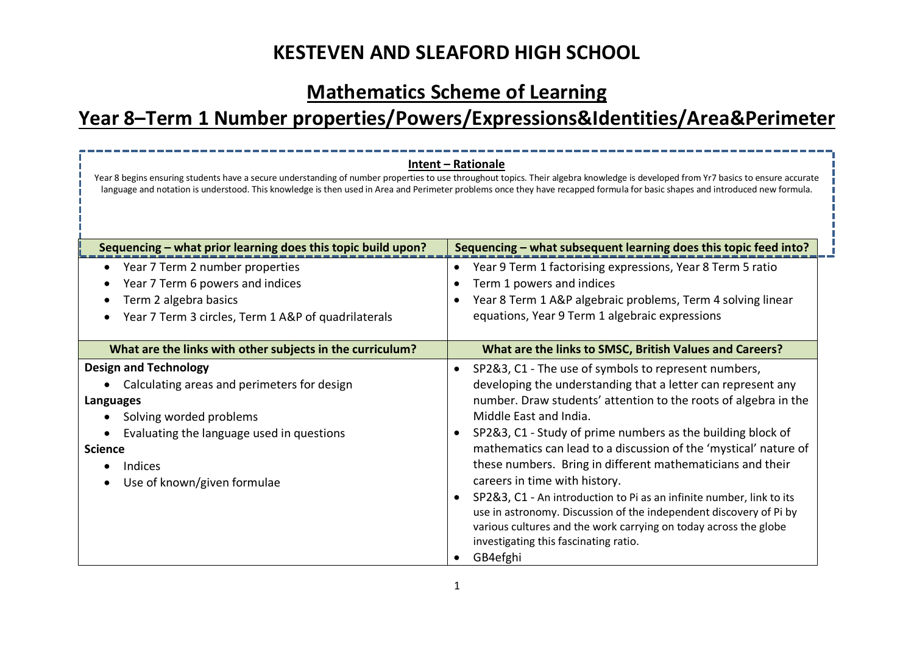# **Mathematics Scheme of Learning**

# **Year 8–Term 1 Number properties/Powers/Expressions&Identities/Area&Perimeter**

| Intent - Rationale<br>Year 8 begins ensuring students have a secure understanding of number properties to use throughout topics. Their algebra knowledge is developed from Yr7 basics to ensure accurate<br>language and notation is understood. This knowledge is then used in Area and Perimeter problems once they have recapped formula for basic shapes and introduced new formula. |                                                                                                                                                                                                                                                                                                                                                                                                                                                                                                                                                                                                                                                                                                                                                      |  |  |  |
|------------------------------------------------------------------------------------------------------------------------------------------------------------------------------------------------------------------------------------------------------------------------------------------------------------------------------------------------------------------------------------------|------------------------------------------------------------------------------------------------------------------------------------------------------------------------------------------------------------------------------------------------------------------------------------------------------------------------------------------------------------------------------------------------------------------------------------------------------------------------------------------------------------------------------------------------------------------------------------------------------------------------------------------------------------------------------------------------------------------------------------------------------|--|--|--|
| Sequencing - what prior learning does this topic build upon?<br>Year 7 Term 2 number properties                                                                                                                                                                                                                                                                                          | Sequencing - what subsequent learning does this topic feed into?<br>Year 9 Term 1 factorising expressions, Year 8 Term 5 ratio<br>$\bullet$                                                                                                                                                                                                                                                                                                                                                                                                                                                                                                                                                                                                          |  |  |  |
| Year 7 Term 6 powers and indices                                                                                                                                                                                                                                                                                                                                                         | Term 1 powers and indices<br>٠                                                                                                                                                                                                                                                                                                                                                                                                                                                                                                                                                                                                                                                                                                                       |  |  |  |
| Term 2 algebra basics                                                                                                                                                                                                                                                                                                                                                                    | Year 8 Term 1 A&P algebraic problems, Term 4 solving linear                                                                                                                                                                                                                                                                                                                                                                                                                                                                                                                                                                                                                                                                                          |  |  |  |
| Year 7 Term 3 circles, Term 1 A&P of quadrilaterals                                                                                                                                                                                                                                                                                                                                      | equations, Year 9 Term 1 algebraic expressions                                                                                                                                                                                                                                                                                                                                                                                                                                                                                                                                                                                                                                                                                                       |  |  |  |
| What are the links with other subjects in the curriculum?                                                                                                                                                                                                                                                                                                                                | What are the links to SMSC, British Values and Careers?                                                                                                                                                                                                                                                                                                                                                                                                                                                                                                                                                                                                                                                                                              |  |  |  |
| <b>Design and Technology</b><br>Calculating areas and perimeters for design<br>Languages<br>Solving worded problems<br>Evaluating the language used in questions<br><b>Science</b><br>Indices<br>Use of known/given formulae                                                                                                                                                             | SP2&3, C1 - The use of symbols to represent numbers,<br>$\bullet$<br>developing the understanding that a letter can represent any<br>number. Draw students' attention to the roots of algebra in the<br>Middle East and India.<br>SP2&3, C1 - Study of prime numbers as the building block of<br>mathematics can lead to a discussion of the 'mystical' nature of<br>these numbers. Bring in different mathematicians and their<br>careers in time with history.<br>SP2&3, C1 - An introduction to Pi as an infinite number, link to its<br>$\bullet$<br>use in astronomy. Discussion of the independent discovery of Pi by<br>various cultures and the work carrying on today across the globe<br>investigating this fascinating ratio.<br>GB4efghi |  |  |  |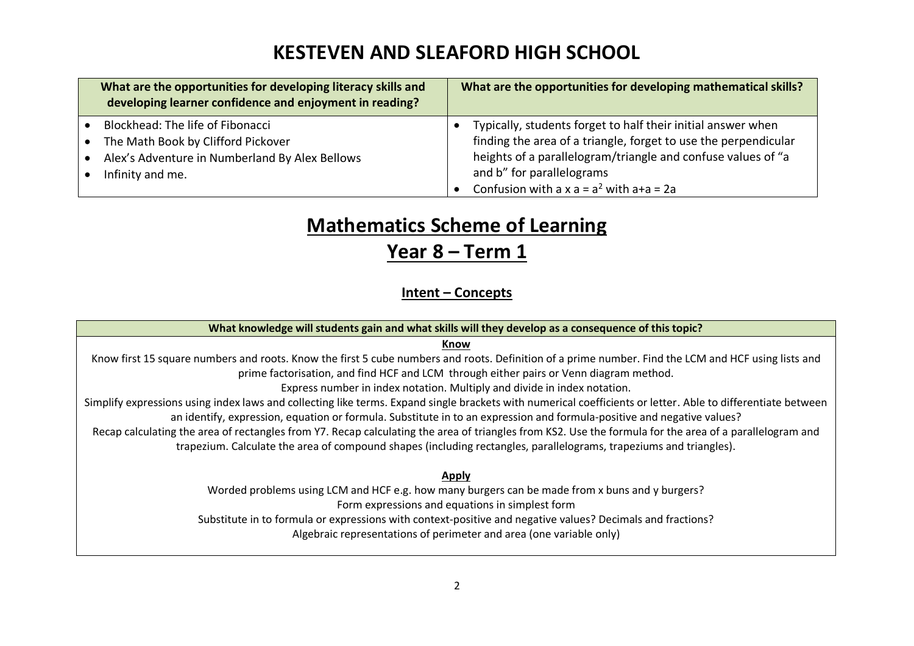| What are the opportunities for developing literacy skills and<br>developing learner confidence and enjoyment in reading?                     | What are the opportunities for developing mathematical skills?                                                                                                                                                                                                               |
|----------------------------------------------------------------------------------------------------------------------------------------------|------------------------------------------------------------------------------------------------------------------------------------------------------------------------------------------------------------------------------------------------------------------------------|
| Blockhead: The life of Fibonacci<br>The Math Book by Clifford Pickover<br>Alex's Adventure in Numberland By Alex Bellows<br>Infinity and me. | Typically, students forget to half their initial answer when<br>finding the area of a triangle, forget to use the perpendicular<br>heights of a parallelogram/triangle and confuse values of "a<br>and b" for parallelograms<br>Confusion with a $x a = a^2$ with $a+a = 2a$ |

# **Mathematics Scheme of Learning**

### **Year 8 – Term 1**

#### **Intent – Concepts**

**What knowledge will students gain and what skills will they develop as a consequence of this topic?**

#### **Know**

Know first 15 square numbers and roots. Know the first 5 cube numbers and roots. Definition of a prime number. Find the LCM and HCF using lists and prime factorisation, and find HCF and LCM through either pairs or Venn diagram method.

Express number in index notation. Multiply and divide in index notation.

Simplify expressions using index laws and collecting like terms. Expand single brackets with numerical coefficients or letter. Able to differentiate between an identify, expression, equation or formula. Substitute in to an expression and formula-positive and negative values?

Recap calculating the area of rectangles from Y7. Recap calculating the area of triangles from KS2. Use the formula for the area of a parallelogram and trapezium. Calculate the area of compound shapes (including rectangles, parallelograms, trapeziums and triangles).

#### **Apply**

Worded problems using LCM and HCF e.g. how many burgers can be made from x buns and y burgers? Form expressions and equations in simplest form Substitute in to formula or expressions with context-positive and negative values? Decimals and fractions?

Algebraic representations of perimeter and area (one variable only)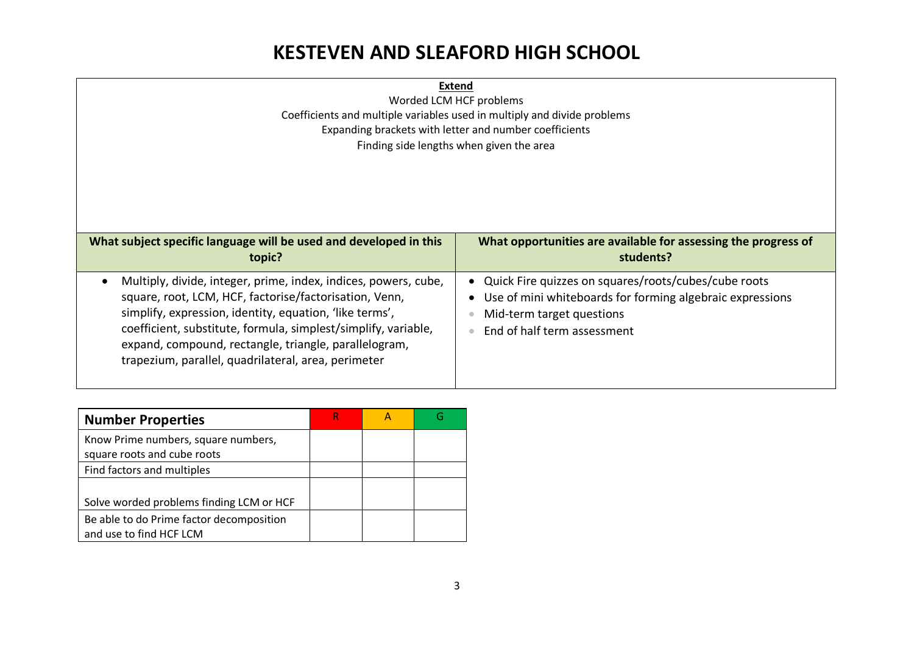| <b>Extend</b><br>Worded LCM HCF problems<br>Coefficients and multiple variables used in multiply and divide problems<br>Expanding brackets with letter and number coefficients<br>Finding side lengths when given the area                                                                                                                                             |                                                                                                                                                                                   |  |  |
|------------------------------------------------------------------------------------------------------------------------------------------------------------------------------------------------------------------------------------------------------------------------------------------------------------------------------------------------------------------------|-----------------------------------------------------------------------------------------------------------------------------------------------------------------------------------|--|--|
| What subject specific language will be used and developed in this<br>topic?                                                                                                                                                                                                                                                                                            | What opportunities are available for assessing the progress of<br>students?                                                                                                       |  |  |
| Multiply, divide, integer, prime, index, indices, powers, cube,<br>square, root, LCM, HCF, factorise/factorisation, Venn,<br>simplify, expression, identity, equation, 'like terms',<br>coefficient, substitute, formula, simplest/simplify, variable,<br>expand, compound, rectangle, triangle, parallelogram,<br>trapezium, parallel, quadrilateral, area, perimeter | • Quick Fire quizzes on squares/roots/cubes/cube roots<br>• Use of mini whiteboards for forming algebraic expressions<br>Mid-term target questions<br>End of half term assessment |  |  |

| <b>Number Properties</b>                                            |  |  |
|---------------------------------------------------------------------|--|--|
| Know Prime numbers, square numbers,<br>square roots and cube roots  |  |  |
| Find factors and multiples                                          |  |  |
| Solve worded problems finding LCM or HCF                            |  |  |
| Be able to do Prime factor decomposition<br>and use to find HCF LCM |  |  |